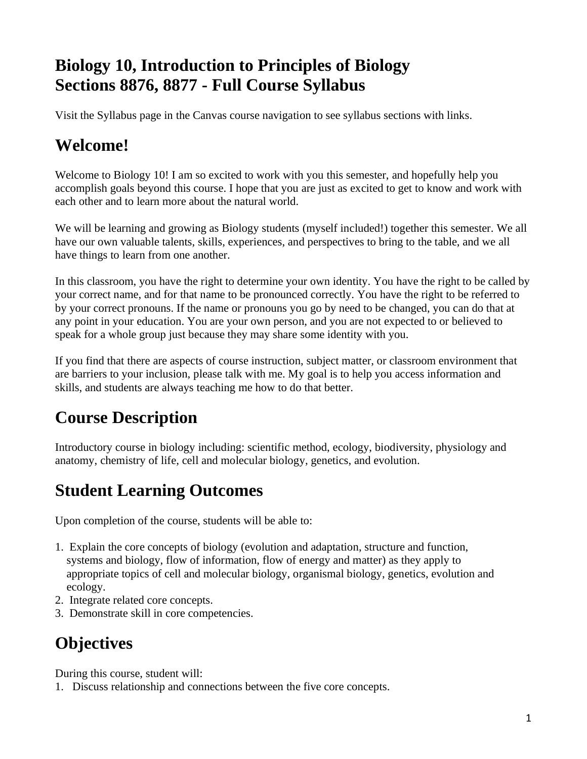# **Biology 10, Introduction to Principles of Biology Sections 8876, 8877 - Full Course Syllabus**

Visit the Syllabus page in the Canvas course navigation to see syllabus sections with links.

# **Welcome!**

Welcome to Biology 10! I am so excited to work with you this semester, and hopefully help you accomplish goals beyond this course. I hope that you are just as excited to get to know and work with each other and to learn more about the natural world.

We will be learning and growing as Biology students (myself included!) together this semester. We all have our own valuable talents, skills, experiences, and perspectives to bring to the table, and we all have things to learn from one another.

In this classroom, you have the right to determine your own identity. You have the right to be called by your correct name, and for that name to be pronounced correctly. You have the right to be referred to by your correct pronouns. If the name or pronouns you go by need to be changed, you can do that at any point in your education. You are your own person, and you are not expected to or believed to speak for a whole group just because they may share some identity with you.

If you find that there are aspects of course instruction, subject matter, or classroom environment that are barriers to your inclusion, please talk with me. My goal is to help you access information and skills, and students are always teaching me how to do that better.

# **Course Description**

Introductory course in biology including: scientific method, ecology, biodiversity, physiology and anatomy, chemistry of life, cell and molecular biology, genetics, and evolution.

# **Student Learning Outcomes**

Upon completion of the course, students will be able to:

- 1. Explain the core concepts of biology (evolution and adaptation, structure and function, systems and biology, flow of information, flow of energy and matter) as they apply to appropriate topics of cell and molecular biology, organismal biology, genetics, evolution and ecology.
- 2. Integrate related core concepts.
- 3. Demonstrate skill in core competencies.

# **Objectives**

During this course, student will:

1. Discuss relationship and connections between the five core concepts.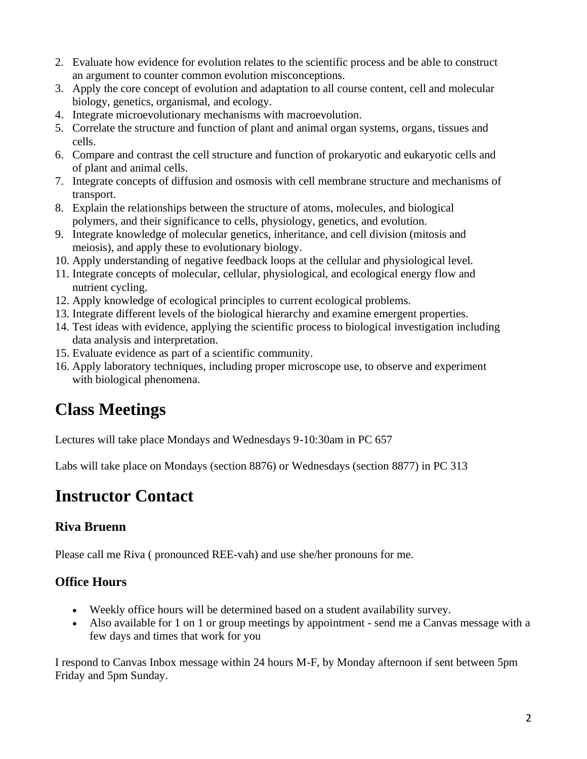- 2. Evaluate how evidence for evolution relates to the scientific process and be able to construct an argument to counter common evolution misconceptions.
- 3. Apply the core concept of evolution and adaptation to all course content, cell and molecular biology, genetics, organismal, and ecology.
- 4. Integrate microevolutionary mechanisms with macroevolution.
- 5. Correlate the structure and function of plant and animal organ systems, organs, tissues and cells.
- 6. Compare and contrast the cell structure and function of prokaryotic and eukaryotic cells and of plant and animal cells.
- 7. Integrate concepts of diffusion and osmosis with cell membrane structure and mechanisms of transport.
- 8. Explain the relationships between the structure of atoms, molecules, and biological polymers, and their significance to cells, physiology, genetics, and evolution.
- 9. Integrate knowledge of molecular genetics, inheritance, and cell division (mitosis and meiosis), and apply these to evolutionary biology.
- 10. Apply understanding of negative feedback loops at the cellular and physiological level.
- 11. Integrate concepts of molecular, cellular, physiological, and ecological energy flow and nutrient cycling.
- 12. Apply knowledge of ecological principles to current ecological problems.
- 13. Integrate different levels of the biological hierarchy and examine emergent properties.
- 14. Test ideas with evidence, applying the scientific process to biological investigation including data analysis and interpretation.
- 15. Evaluate evidence as part of a scientific community.
- 16. Apply laboratory techniques, including proper microscope use, to observe and experiment with biological phenomena.

### **Class Meetings**

Lectures will take place Mondays and Wednesdays 9-10:30am in PC 657

Labs will take place on Mondays (section 8876) or Wednesdays (section 8877) in PC 313

#### **Instructor Contact**

#### **Riva Bruenn**

Please call me Riva ( pronounced REE-vah) and use she/her pronouns for me.

#### **Office Hours**

- Weekly office hours will be determined based on a student availability survey.
- Also available for 1 on 1 or group meetings by appointment send me a Canvas message with a few days and times that work for you

I respond to Canvas Inbox message within 24 hours M-F, by Monday afternoon if sent between 5pm Friday and 5pm Sunday.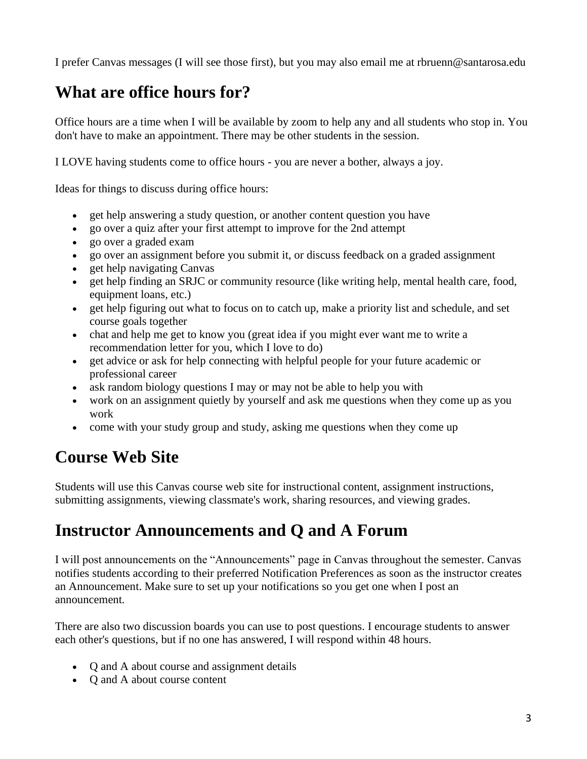I prefer Canvas messages (I will see those first), but you may also email me at rbruenn@santarosa.edu

# **What are office hours for?**

Office hours are a time when I will be available by zoom to help any and all students who stop in. You don't have to make an appointment. There may be other students in the session.

I LOVE having students come to office hours - you are never a bother, always a joy.

Ideas for things to discuss during office hours:

- get help answering a study question, or another content question you have
- go over a quiz after your first attempt to improve for the 2nd attempt
- go over a graded exam
- go over an assignment before you submit it, or discuss feedback on a graded assignment
- get help navigating Canvas
- get help finding an SRJC or community resource (like writing help, mental health care, food, equipment loans, etc.)
- get help figuring out what to focus on to catch up, make a priority list and schedule, and set course goals together
- chat and help me get to know you (great idea if you might ever want me to write a recommendation letter for you, which I love to do)
- get advice or ask for help connecting with helpful people for your future academic or professional career
- ask random biology questions I may or may not be able to help you with
- work on an assignment quietly by yourself and ask me questions when they come up as you work
- come with your study group and study, asking me questions when they come up

# **Course Web Site**

Students will use this Canvas course web site for instructional content, assignment instructions, submitting assignments, viewing classmate's work, sharing resources, and viewing grades.

### **Instructor Announcements and Q and A Forum**

I will post announcements on the "Announcements" page in Canvas throughout the semester. Canvas notifies students according to their preferred Notification Preferences as soon as the instructor creates an Announcement. Make sure to set up your notifications so you get one when I post an announcement.

There are also two discussion boards you can use to post questions. I encourage students to answer each other's questions, but if no one has answered, I will respond within 48 hours.

- Q and A about course and assignment details
- Q and A about course content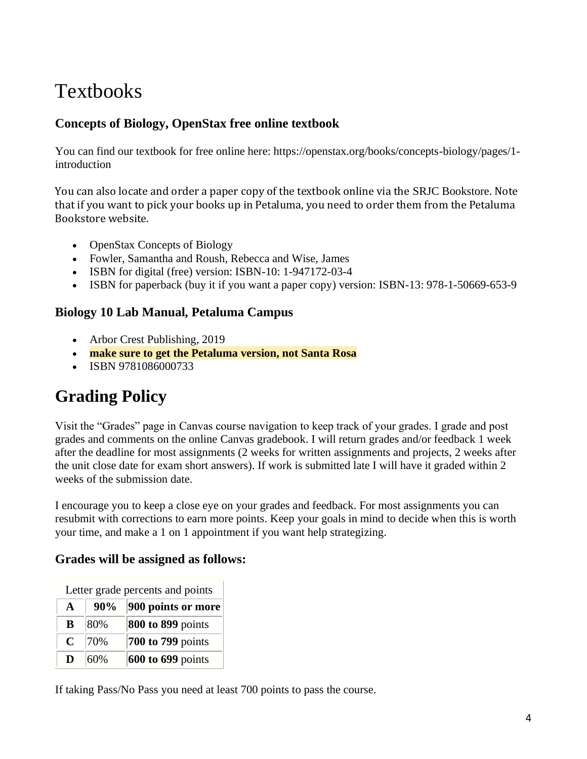# **Textbooks**

#### **Concepts of Biology, OpenStax free online textbook**

You can find our textbook for free online here: https://openstax.org/books/concepts-biology/pages/1 introduction

You can also locate and order a paper copy of the textbook online via the SRJC Bookstore. Note that if you want to pick your books up in Petaluma, you need to order them from the Petaluma Bookstore website.

- OpenStax Concepts of Biology
- Fowler, Samantha and Roush, Rebecca and Wise, James
- ISBN for digital (free) version: ISBN-10: 1-947172-03-4
- ISBN for paperback (buy it if you want a paper copy) version: ISBN-13: 978-1-50669-653-9

#### **Biology 10 Lab Manual, Petaluma Campus**

- Arbor Crest Publishing, 2019
- **make sure to get the Petaluma version, not Santa Rosa**
- ISBN 9781086000733

# **Grading Policy**

Visit the "Grades" page in Canvas course navigation to keep track of your grades. I grade and post grades and comments on the online Canvas gradebook. I will return grades and/or feedback 1 week after the deadline for most assignments (2 weeks for written assignments and projects, 2 weeks after the unit close date for exam short answers). If work is submitted late I will have it graded within 2 weeks of the submission date.

I encourage you to keep a close eye on your grades and feedback. For most assignments you can resubmit with corrections to earn more points. Keep your goals in mind to decide when this is worth your time, and make a 1 on 1 appointment if you want help strategizing.

#### **Grades will be assigned as follows:**

| Letter grade percents and points |     |                          |  |  |
|----------------------------------|-----|--------------------------|--|--|
| $\mathbf{A}$                     | 90% | 900 points or more       |  |  |
| B                                | 80% | <b>800 to 899 points</b> |  |  |
| $\mathbf C$                      | 70% | 700 to 799 points        |  |  |
| D                                | 60% | 600 to 699 points        |  |  |

If taking Pass/No Pass you need at least 700 points to pass the course.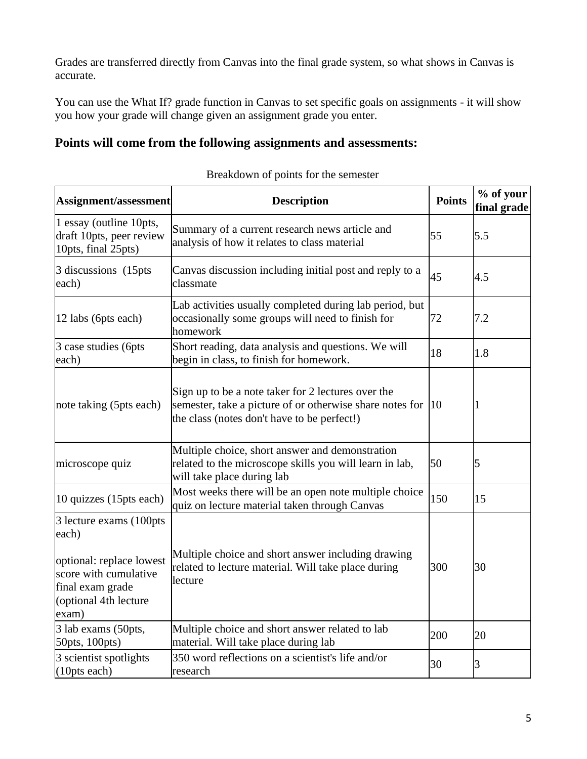Grades are transferred directly from Canvas into the final grade system, so what shows in Canvas is accurate.

You can use the What If? grade function in Canvas to set specific goals on assignments - it will show you how your grade will change given an assignment grade you enter.

#### **Points will come from the following assignments and assessments:**

| Assignment/assessment                                                                                                                                                                                                                                                | <b>Description</b>                                                                                                                                            | <b>Points</b> | % of your<br>final grade |  |
|----------------------------------------------------------------------------------------------------------------------------------------------------------------------------------------------------------------------------------------------------------------------|---------------------------------------------------------------------------------------------------------------------------------------------------------------|---------------|--------------------------|--|
| 1 essay (outline 10pts,<br>draft 10pts, peer review<br>10pts, final 25pts)                                                                                                                                                                                           | Summary of a current research news article and<br>analysis of how it relates to class material                                                                | 55            | 5.5                      |  |
| 3 discussions (15pts)<br>each)                                                                                                                                                                                                                                       | Canvas discussion including initial post and reply to a<br>classmate                                                                                          | 45            | 4.5                      |  |
| 12 labs (6pts each)                                                                                                                                                                                                                                                  | Lab activities usually completed during lab period, but<br>occasionally some groups will need to finish for<br>72<br>homework                                 |               | 7.2                      |  |
| 3 case studies (6pts<br>each)                                                                                                                                                                                                                                        | Short reading, data analysis and questions. We will<br>begin in class, to finish for homework.                                                                | 18            | 1.8                      |  |
| note taking (5pts each)                                                                                                                                                                                                                                              | Sign up to be a note taker for 2 lectures over the<br>semester, take a picture of or otherwise share notes for<br>the class (notes don't have to be perfect!) | $ 10\rangle$  | 1                        |  |
| microscope quiz                                                                                                                                                                                                                                                      | Multiple choice, short answer and demonstration<br>related to the microscope skills you will learn in lab,<br>will take place during lab                      | 50            | 5                        |  |
| 10 quizzes (15pts each)                                                                                                                                                                                                                                              | Most weeks there will be an open note multiple choice<br>quiz on lecture material taken through Canvas                                                        | 150           | 15                       |  |
| 3 lecture exams (100pts)<br>each)<br>Multiple choice and short answer including drawing<br>optional: replace lowest<br>related to lecture material. Will take place during<br>score with cumulative<br>lecture<br>final exam grade<br>(optional 4th lecture<br>exam) |                                                                                                                                                               | 300           | 30                       |  |
| 3 lab exams (50pts,<br>50pts, 100pts)                                                                                                                                                                                                                                | Multiple choice and short answer related to lab<br>material. Will take place during lab                                                                       | 200           | 20                       |  |
| 3 scientist spotlights<br>(10pts each)                                                                                                                                                                                                                               | 350 word reflections on a scientist's life and/or<br>research                                                                                                 | 30            | 3                        |  |

| Breakdown of points for the semester |  |  |  |
|--------------------------------------|--|--|--|
|                                      |  |  |  |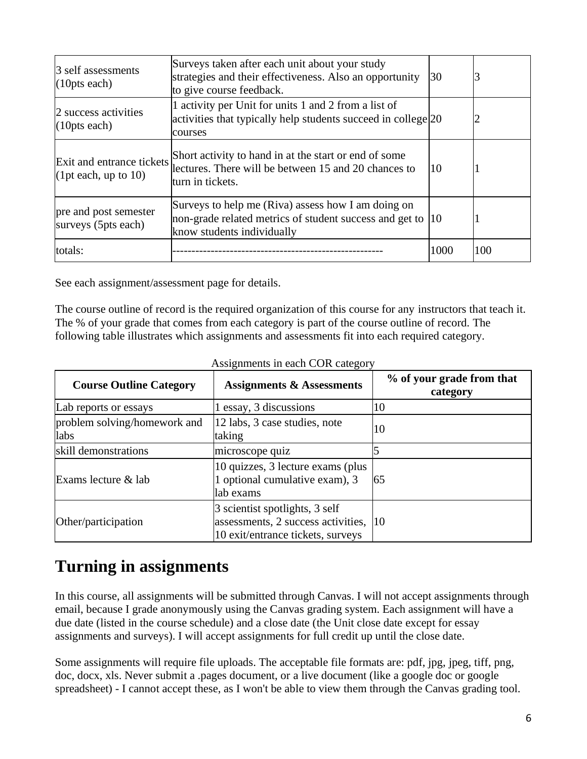| Surveys taken after each unit about your study<br>3 self assessments<br>strategies and their effectiveness. Also an opportunity<br>30<br>(10 <sub>pts</sub> each)<br>to give course feedback. |                                                                                                                                   |      | 3   |
|-----------------------------------------------------------------------------------------------------------------------------------------------------------------------------------------------|-----------------------------------------------------------------------------------------------------------------------------------|------|-----|
| 2 success activities<br>(10 <sub>pts</sub> each)                                                                                                                                              | 1 activity per Unit for units 1 and 2 from a list of<br>activities that typically help students succeed in college 20<br>courses  |      | 2   |
| Exit and entrance tickets<br>(1pt each, up to 10)                                                                                                                                             | Short activity to hand in at the start or end of some<br>lectures. There will be between 15 and 20 chances to<br>turn in tickets. | 10   |     |
| Surveys to help me (Riva) assess how I am doing on<br>pre and post semester<br>non-grade related metrics of student success and get to<br>surveys (5pts each)<br>know students individually   |                                                                                                                                   | 10   |     |
| totals:                                                                                                                                                                                       |                                                                                                                                   | 1000 | 100 |

See each assignment/assessment page for details.

The course outline of record is the required organization of this course for any instructors that teach it. The % of your grade that comes from each category is part of the course outline of record. The following table illustrates which assignments and assessments fit into each required category.

| <b>Course Outline Category</b>       | <b>Assignments &amp; Assessments</b>                                                                      | % of your grade from that<br>category |
|--------------------------------------|-----------------------------------------------------------------------------------------------------------|---------------------------------------|
| Lab reports or essays                | 1 essay, 3 discussions                                                                                    | 10                                    |
| problem solving/homework and<br>labs | 12 labs, 3 case studies, note<br>taking                                                                   | 10                                    |
| skill demonstrations                 | microscope quiz                                                                                           |                                       |
| Exams lecture & lab                  | 10 quizzes, 3 lecture exams (plus<br>1 optional cumulative exam), 3<br>lab exams                          | 165                                   |
| Other/participation                  | 3 scientist spotlights, 3 self<br>assessments, 2 success activities,<br>10 exit/entrance tickets, surveys | 110                                   |

Assignments in each COR category

### **Turning in assignments**

In this course, all assignments will be submitted through Canvas. I will not accept assignments through email, because I grade anonymously using the Canvas grading system. Each assignment will have a due date (listed in the course schedule) and a close date (the Unit close date except for essay assignments and surveys). I will accept assignments for full credit up until the close date.

Some assignments will require file uploads. The acceptable file formats are: pdf, jpg, jpeg, tiff, png, doc, docx, xls. Never submit a .pages document, or a live document (like a google doc or google spreadsheet) - I cannot accept these, as I won't be able to view them through the Canvas grading tool.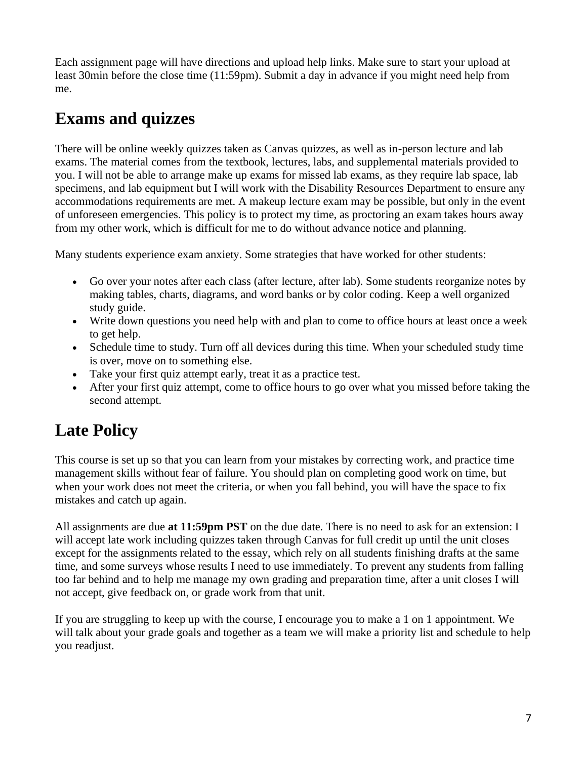Each assignment page will have directions and upload help links. Make sure to start your upload at least 30min before the close time (11:59pm). Submit a day in advance if you might need help from me.

# **Exams and quizzes**

There will be online weekly quizzes taken as Canvas quizzes, as well as in-person lecture and lab exams. The material comes from the textbook, lectures, labs, and supplemental materials provided to you. I will not be able to arrange make up exams for missed lab exams, as they require lab space, lab specimens, and lab equipment but I will work with the Disability Resources Department to ensure any accommodations requirements are met. A makeup lecture exam may be possible, but only in the event of unforeseen emergencies. This policy is to protect my time, as proctoring an exam takes hours away from my other work, which is difficult for me to do without advance notice and planning.

Many students experience exam anxiety. Some strategies that have worked for other students:

- Go over your notes after each class (after lecture, after lab). Some students reorganize notes by making tables, charts, diagrams, and word banks or by color coding. Keep a well organized study guide.
- Write down questions you need help with and plan to come to office hours at least once a week to get help.
- Schedule time to study. Turn off all devices during this time. When your scheduled study time is over, move on to something else.
- Take your first quiz attempt early, treat it as a practice test.
- After your first quiz attempt, come to office hours to go over what you missed before taking the second attempt.

# **Late Policy**

This course is set up so that you can learn from your mistakes by correcting work, and practice time management skills without fear of failure. You should plan on completing good work on time, but when your work does not meet the criteria, or when you fall behind, you will have the space to fix mistakes and catch up again.

All assignments are due **at 11:59pm PST** on the due date. There is no need to ask for an extension: I will accept late work including quizzes taken through Canvas for full credit up until the unit closes except for the assignments related to the essay, which rely on all students finishing drafts at the same time, and some surveys whose results I need to use immediately. To prevent any students from falling too far behind and to help me manage my own grading and preparation time, after a unit closes I will not accept, give feedback on, or grade work from that unit.

If you are struggling to keep up with the course, I encourage you to make a 1 on 1 appointment. We will talk about your grade goals and together as a team we will make a priority list and schedule to help you readjust.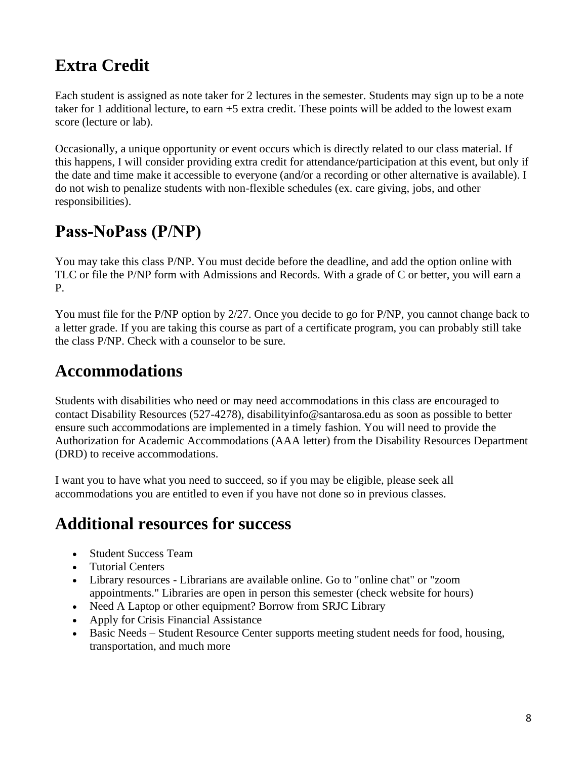# **Extra Credit**

Each student is assigned as note taker for 2 lectures in the semester. Students may sign up to be a note taker for 1 additional lecture, to earn +5 extra credit. These points will be added to the lowest exam score (lecture or lab).

Occasionally, a unique opportunity or event occurs which is directly related to our class material. If this happens, I will consider providing extra credit for attendance/participation at this event, but only if the date and time make it accessible to everyone (and/or a recording or other alternative is available). I do not wish to penalize students with non-flexible schedules (ex. care giving, jobs, and other responsibilities).

## **Pass‐NoPass (P/NP)**

You may take this class P/NP. You must decide before the deadline, and add the option online with TLC or file the P/NP form with Admissions and Records. With a grade of C or better, you will earn a P.

You must file for the P/NP option by 2/27. Once you decide to go for P/NP, you cannot change back to a letter grade. If you are taking this course as part of a certificate program, you can probably still take the class P/NP. Check with a counselor to be sure.

### **Accommodations**

Students with disabilities who need or may need accommodations in this class are encouraged to contact Disability Resources (527-4278), disabilityinfo@santarosa.edu as soon as possible to better ensure such accommodations are implemented in a timely fashion. You will need to provide the Authorization for Academic Accommodations (AAA letter) from the Disability Resources Department (DRD) to receive accommodations.

I want you to have what you need to succeed, so if you may be eligible, please seek all accommodations you are entitled to even if you have not done so in previous classes.

### **Additional resources for success**

- Student Success Team
- Tutorial Centers
- Library resources Librarians are available online. Go to "online chat" or "zoom appointments." Libraries are open in person this semester (check website for hours)
- Need A Laptop or other equipment? Borrow from SRJC Library
- Apply for Crisis Financial Assistance
- Basic Needs Student Resource Center supports meeting student needs for food, housing, transportation, and much more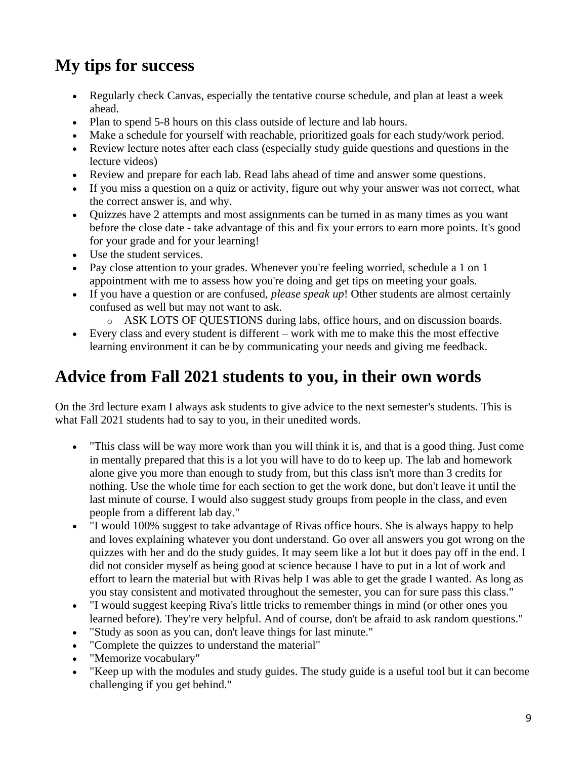# **My tips for success**

- Regularly check Canvas, especially the tentative course schedule, and plan at least a week ahead.
- Plan to spend 5-8 hours on this class outside of lecture and lab hours.
- Make a schedule for yourself with reachable, prioritized goals for each study/work period.
- Review lecture notes after each class (especially study guide questions and questions in the lecture videos)
- Review and prepare for each lab. Read labs ahead of time and answer some questions.
- If you miss a question on a quiz or activity, figure out why your answer was not correct, what the correct answer is, and why.
- Quizzes have 2 attempts and most assignments can be turned in as many times as you want before the close date - take advantage of this and fix your errors to earn more points. It's good for your grade and for your learning!
- Use the student services.
- Pay close attention to your grades. Whenever you're feeling worried, schedule a 1 on 1 appointment with me to assess how you're doing and get tips on meeting your goals.
- If you have a question or are confused, *please speak up*! Other students are almost certainly confused as well but may not want to ask.
	- o ASK LOTS OF QUESTIONS during labs, office hours, and on discussion boards.
- Every class and every student is different work with me to make this the most effective learning environment it can be by communicating your needs and giving me feedback.

# **Advice from Fall 2021 students to you, in their own words**

On the 3rd lecture exam I always ask students to give advice to the next semester's students. This is what Fall 2021 students had to say to you, in their unedited words.

- "This class will be way more work than you will think it is, and that is a good thing. Just come in mentally prepared that this is a lot you will have to do to keep up. The lab and homework alone give you more than enough to study from, but this class isn't more than 3 credits for nothing. Use the whole time for each section to get the work done, but don't leave it until the last minute of course. I would also suggest study groups from people in the class, and even people from a different lab day."
- "I would 100% suggest to take advantage of Rivas office hours. She is always happy to help and loves explaining whatever you dont understand. Go over all answers you got wrong on the quizzes with her and do the study guides. It may seem like a lot but it does pay off in the end. I did not consider myself as being good at science because I have to put in a lot of work and effort to learn the material but with Rivas help I was able to get the grade I wanted. As long as you stay consistent and motivated throughout the semester, you can for sure pass this class."
- I would suggest keeping Riva's little tricks to remember things in mind (or other ones you learned before). They're very helpful. And of course, don't be afraid to ask random questions."
- "Study as soon as you can, don't leave things for last minute."
- "Complete the quizzes to understand the material"
- "Memorize vocabulary"
- "Keep up with the modules and study guides. The study guide is a useful tool but it can become challenging if you get behind."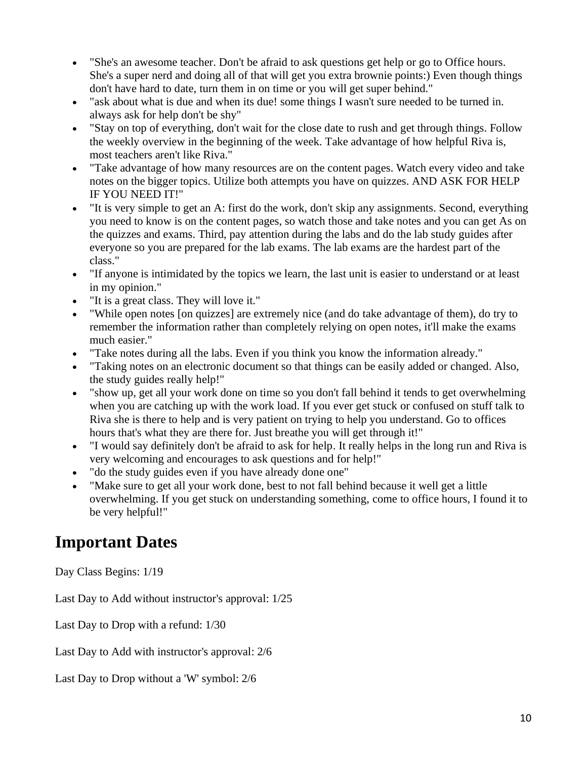- "She's an awesome teacher. Don't be afraid to ask questions get help or go to Office hours. She's a super nerd and doing all of that will get you extra brownie points:) Even though things don't have hard to date, turn them in on time or you will get super behind."
- "ask about what is due and when its due! some things I wasn't sure needed to be turned in. always ask for help don't be shy"
- "Stay on top of everything, don't wait for the close date to rush and get through things. Follow the weekly overview in the beginning of the week. Take advantage of how helpful Riva is, most teachers aren't like Riva."
- "Take advantage of how many resources are on the content pages. Watch every video and take notes on the bigger topics. Utilize both attempts you have on quizzes. AND ASK FOR HELP IF YOU NEED IT!"
- "It is very simple to get an A: first do the work, don't skip any assignments. Second, everything you need to know is on the content pages, so watch those and take notes and you can get As on the quizzes and exams. Third, pay attention during the labs and do the lab study guides after everyone so you are prepared for the lab exams. The lab exams are the hardest part of the class."
- "If anyone is intimidated by the topics we learn, the last unit is easier to understand or at least in my opinion."
- "It is a great class. They will love it."
- "While open notes [on quizzes] are extremely nice (and do take advantage of them), do try to remember the information rather than completely relying on open notes, it'll make the exams much easier."
- "Take notes during all the labs. Even if you think you know the information already."
- "Taking notes on an electronic document so that things can be easily added or changed. Also, the study guides really help!"
- "show up, get all your work done on time so you don't fall behind it tends to get overwhelming when you are catching up with the work load. If you ever get stuck or confused on stuff talk to Riva she is there to help and is very patient on trying to help you understand. Go to offices hours that's what they are there for. Just breathe you will get through it!"
- "I would say definitely don't be afraid to ask for help. It really helps in the long run and Riva is very welcoming and encourages to ask questions and for help!"
- "do the study guides even if you have already done one"
- "Make sure to get all your work done, best to not fall behind because it well get a little overwhelming. If you get stuck on understanding something, come to office hours, I found it to be very helpful!"

### **Important Dates**

Day Class Begins: 1/19

Last Day to Add without instructor's approval: 1/25

Last Day to Drop with a refund: 1/30

Last Day to Add with instructor's approval: 2/6

Last Day to Drop without a 'W' symbol: 2/6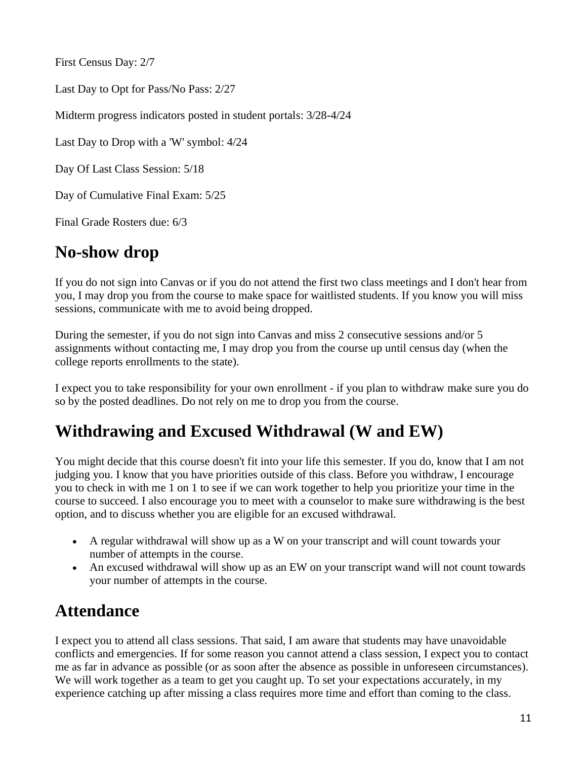First Census Day: 2/7

Last Day to Opt for Pass/No Pass: 2/27

Midterm progress indicators posted in student portals: 3/28-4/24

Last Day to Drop with a 'W' symbol: 4/24

Day Of Last Class Session: 5/18

Day of Cumulative Final Exam: 5/25

Final Grade Rosters due: 6/3

### **No-show drop**

If you do not sign into Canvas or if you do not attend the first two class meetings and I don't hear from you, I may drop you from the course to make space for waitlisted students. If you know you will miss sessions, communicate with me to avoid being dropped.

During the semester, if you do not sign into Canvas and miss 2 consecutive sessions and/or 5 assignments without contacting me, I may drop you from the course up until census day (when the college reports enrollments to the state).

I expect you to take responsibility for your own enrollment - if you plan to withdraw make sure you do so by the posted deadlines. Do not rely on me to drop you from the course.

### **Withdrawing and Excused Withdrawal (W and EW)**

You might decide that this course doesn't fit into your life this semester. If you do, know that I am not judging you. I know that you have priorities outside of this class. Before you withdraw, I encourage you to check in with me 1 on 1 to see if we can work together to help you prioritize your time in the course to succeed. I also encourage you to meet with a counselor to make sure withdrawing is the best option, and to discuss whether you are eligible for an excused withdrawal.

- A regular withdrawal will show up as a W on your transcript and will count towards your number of attempts in the course.
- An excused withdrawal will show up as an EW on your transcript wand will not count towards your number of attempts in the course.

### **Attendance**

I expect you to attend all class sessions. That said, I am aware that students may have unavoidable conflicts and emergencies. If for some reason you cannot attend a class session, I expect you to contact me as far in advance as possible (or as soon after the absence as possible in unforeseen circumstances). We will work together as a team to get you caught up. To set your expectations accurately, in my experience catching up after missing a class requires more time and effort than coming to the class.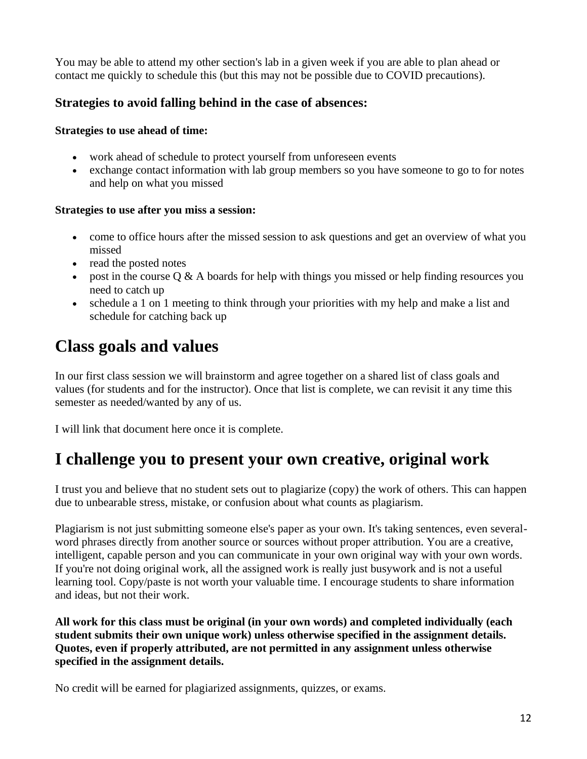You may be able to attend my other section's lab in a given week if you are able to plan ahead or contact me quickly to schedule this (but this may not be possible due to COVID precautions).

#### **Strategies to avoid falling behind in the case of absences:**

#### **Strategies to use ahead of time:**

- work ahead of schedule to protect yourself from unforeseen events
- exchange contact information with lab group members so you have someone to go to for notes and help on what you missed

#### **Strategies to use after you miss a session:**

- come to office hours after the missed session to ask questions and get an overview of what you missed
- read the posted notes
- post in the course  $\overline{Q} \& A$  boards for help with things you missed or help finding resources you need to catch up
- schedule a 1 on 1 meeting to think through your priorities with my help and make a list and schedule for catching back up

## **Class goals and values**

In our first class session we will brainstorm and agree together on a shared list of class goals and values (for students and for the instructor). Once that list is complete, we can revisit it any time this semester as needed/wanted by any of us.

I will link that document here once it is complete.

### **I challenge you to present your own creative, original work**

I trust you and believe that no student sets out to plagiarize (copy) the work of others. This can happen due to unbearable stress, mistake, or confusion about what counts as plagiarism.

Plagiarism is not just submitting someone else's paper as your own. It's taking sentences, even severalword phrases directly from another source or sources without proper attribution. You are a creative, intelligent, capable person and you can communicate in your own original way with your own words. If you're not doing original work, all the assigned work is really just busywork and is not a useful learning tool. Copy/paste is not worth your valuable time. I encourage students to share information and ideas, but not their work.

**All work for this class must be original (in your own words) and completed individually (each student submits their own unique work) unless otherwise specified in the assignment details. Quotes, even if properly attributed, are not permitted in any assignment unless otherwise specified in the assignment details.**

No credit will be earned for plagiarized assignments, quizzes, or exams.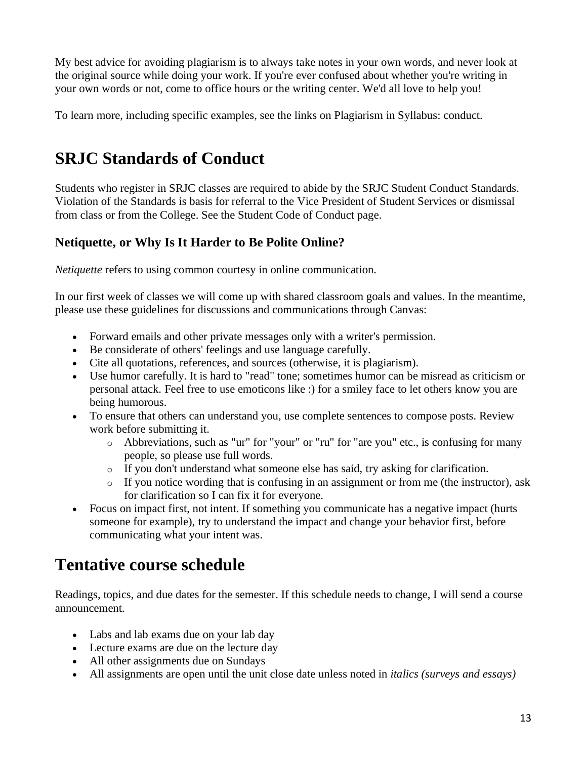My best advice for avoiding plagiarism is to always take notes in your own words, and never look at the original source while doing your work. If you're ever confused about whether you're writing in your own words or not, come to office hours or the writing center. We'd all love to help you!

To learn more, including specific examples, see the links on Plagiarism in Syllabus: conduct.

# **SRJC Standards of Conduct**

Students who register in SRJC classes are required to abide by the SRJC Student Conduct Standards. Violation of the Standards is basis for referral to the Vice President of Student Services or dismissal from class or from the College. See the Student Code of Conduct page.

#### **Netiquette, or Why Is It Harder to Be Polite Online?**

*Netiquette* refers to using common courtesy in online communication.

In our first week of classes we will come up with shared classroom goals and values. In the meantime, please use these guidelines for discussions and communications through Canvas:

- Forward emails and other private messages only with a writer's permission.
- Be considerate of others' feelings and use language carefully.
- Cite all quotations, references, and sources (otherwise, it is plagiarism).
- Use humor carefully. It is hard to "read" tone; sometimes humor can be misread as criticism or personal attack. Feel free to use emoticons like :) for a smiley face to let others know you are being humorous.
- To ensure that others can understand you, use complete sentences to compose posts. Review work before submitting it.
	- o Abbreviations, such as "ur" for "your" or "ru" for "are you" etc., is confusing for many people, so please use full words.
	- o If you don't understand what someone else has said, try asking for clarification.
	- $\circ$  If you notice wording that is confusing in an assignment or from me (the instructor), ask for clarification so I can fix it for everyone.
- Focus on impact first, not intent. If something you communicate has a negative impact (hurts someone for example), try to understand the impact and change your behavior first, before communicating what your intent was.

### **Tentative course schedule**

Readings, topics, and due dates for the semester. If this schedule needs to change, I will send a course announcement.

- Labs and lab exams due on your lab day
- Lecture exams are due on the lecture day
- All other assignments due on Sundays
- All assignments are open until the unit close date unless noted in *italics (surveys and essays)*